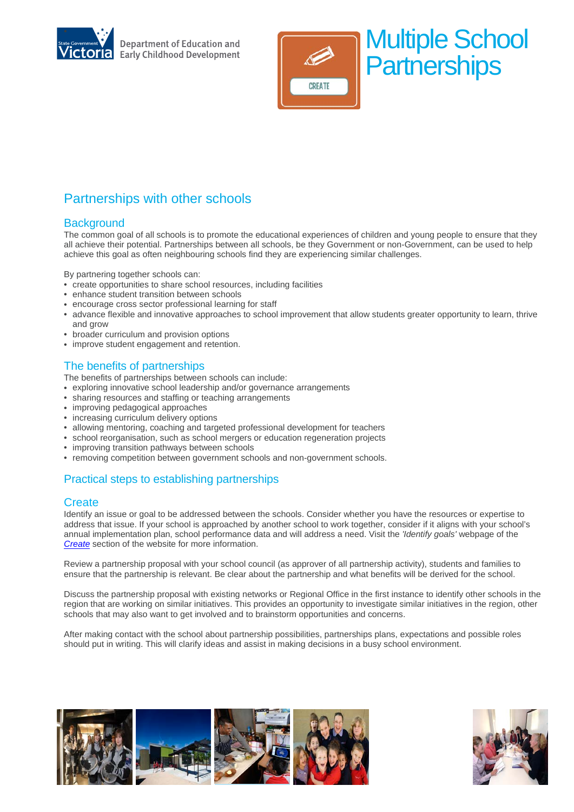

**Department of Education and Early Childhood Development** 



# Partnerships with other schools

### **Background**

The common goal of all schools is to promote the educational experiences of children and young people to ensure that they all achieve their potential. Partnerships between all schools, be they Government or non-Government, can be used to help achieve this goal as often neighbouring schools find they are experiencing similar challenges.

By partnering together schools can:

- create opportunities to share school resources, including facilities
- enhance student transition between schools
- encourage cross sector professional learning for staff
- advance flexible and innovative approaches to school improvement that allow students greater opportunity to learn, thrive and grow
- broader curriculum and provision options
- improve student engagement and retention.

## The benefits of partnerships

The benefits of partnerships between schools can include:

- exploring innovative school leadership and/or governance arrangements
- sharing resources and staffing or teaching arrangements
- improving pedagogical approaches
- increasing curriculum delivery options
- allowing mentoring, coaching and targeted professional development for teachers
- school reorganisation, such as school mergers or education regeneration projects
- improving transition pathways between schools
- removing competition between government schools and non-government schools.

## Practical steps to establishing partnerships

#### **Create**

Identify an issue or goal to be addressed between the schools. Consider whether you have the resources or expertise to address that issue. If your school is approached by another school to work together, consider if it aligns with your school's annual implementation plan, school performance data and will address a need. Visit the *'Identify goals'* webpage of the *[Create](http://www.education.vic.gov.au/about/directions/partnerships/create.htm)* section of the website for more information.

Review a partnership proposal with your school council (as approver of all partnership activity), students and families to ensure that the partnership is relevant. Be clear about the partnership and what benefits will be derived for the school.

Discuss the partnership proposal with existing networks or Regional Office in the first instance to identify other schools in the region that are working on similar initiatives. This provides an opportunity to investigate similar initiatives in the region, other schools that may also want to get involved and to brainstorm opportunities and concerns.

After making contact with the school about partnership possibilities, partnerships plans, expectations and possible roles should put in writing. This will clarify ideas and assist in making decisions in a busy school environment.